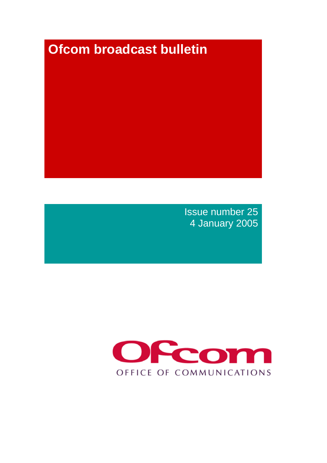# **Ofcom broadcast bulletin**

Issue number 25 4 January 2005

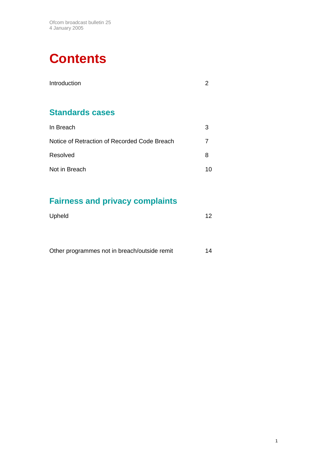# **Contents**

| Introduction                                 |    |
|----------------------------------------------|----|
|                                              |    |
| <b>Standards cases</b>                       |    |
| In Breach                                    | 3  |
| Notice of Retraction of Recorded Code Breach | 7  |
| Resolved                                     | 8  |
| Not in Breach                                | 10 |

# **Fairness and privacy complaints**

| Upheld | $12 \overline{ }$ |
|--------|-------------------|
|        |                   |

| Other programmes not in breach/outside remit |  |
|----------------------------------------------|--|
|                                              |  |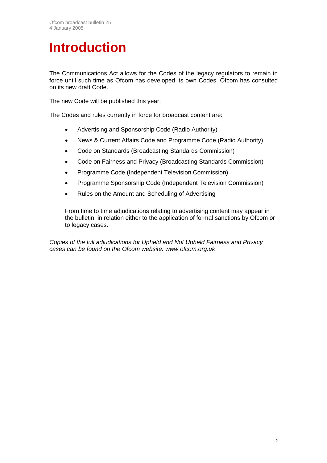# **Introduction**

The Communications Act allows for the Codes of the legacy regulators to remain in force until such time as Ofcom has developed its own Codes. Ofcom has consulted on its new draft Code.

The new Code will be published this year.

The Codes and rules currently in force for broadcast content are:

- Advertising and Sponsorship Code (Radio Authority)
- News & Current Affairs Code and Programme Code (Radio Authority)
- Code on Standards (Broadcasting Standards Commission)
- Code on Fairness and Privacy (Broadcasting Standards Commission)
- Programme Code (Independent Television Commission)
- Programme Sponsorship Code (Independent Television Commission)
- Rules on the Amount and Scheduling of Advertising

From time to time adjudications relating to advertising content may appear in the bulletin, in relation either to the application of formal sanctions by Ofcom or to legacy cases.

*Copies of the full adjudications for Upheld and Not Upheld Fairness and Privacy cases can be found on the Ofcom website: www.ofcom.org.uk*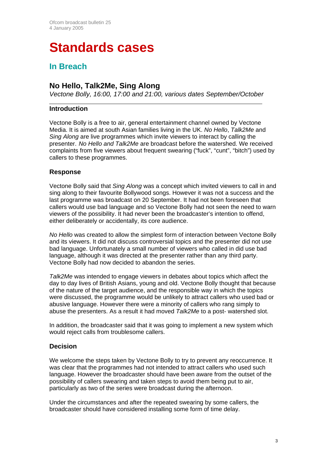# **Standards cases**

# **In Breach**

# **No Hello, Talk2Me, Sing Along**

*Vectone Bolly, 16:00, 17:00 and 21:00, various dates September/October* 

## **Introduction**

Vectone Bolly is a free to air, general entertainment channel owned by Vectone Media. It is aimed at south Asian families living in the UK. *No Hello*, *Talk2Me* and *Sing Along* are live programmes which invite viewers to interact by calling the presenter. *No Hello and Talk2Me* are broadcast before the watershed. We received complaints from five viewers about frequent swearing ("fuck", "cunt", "bitch") used by callers to these programmes.

## **Response**

Vectone Bolly said that *Sing Along* was a concept which invited viewers to call in and sing along to their favourite Bollywood songs. However it was not a success and the last programme was broadcast on 20 September. It had not been foreseen that callers would use bad language and so Vectone Bolly had not seen the need to warn viewers of the possibility. It had never been the broadcaster's intention to offend, either deliberately or accidentally, its core audience.

*No Hello* was created to allow the simplest form of interaction between Vectone Bolly and its viewers. It did not discuss controversial topics and the presenter did not use bad language. Unfortunately a small number of viewers who called in did use bad language, although it was directed at the presenter rather than any third party. Vectone Bolly had now decided to abandon the series.

*Talk2Me* was intended to engage viewers in debates about topics which affect the day to day lives of British Asians, young and old. Vectone Bolly thought that because of the nature of the target audience, and the responsible way in which the topics were discussed, the programme would be unlikely to attract callers who used bad or abusive language. However there were a minority of callers who rang simply to abuse the presenters. As a result it had moved *Talk2Me* to a post- watershed slot.

In addition, the broadcaster said that it was going to implement a new system which would reject calls from troublesome callers.

# **Decision**

We welcome the steps taken by Vectone Bolly to try to prevent any reoccurrence. It was clear that the programmes had not intended to attract callers who used such language. However the broadcaster should have been aware from the outset of the possibility of callers swearing and taken steps to avoid them being put to air, particularly as two of the series were broadcast during the afternoon.

Under the circumstances and after the repeated swearing by some callers, the broadcaster should have considered installing some form of time delay.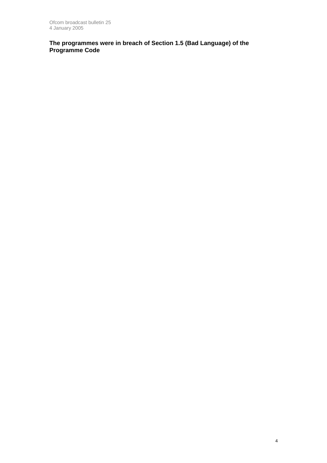**The programmes were in breach of Section 1.5 (Bad Language) of the Programme Code**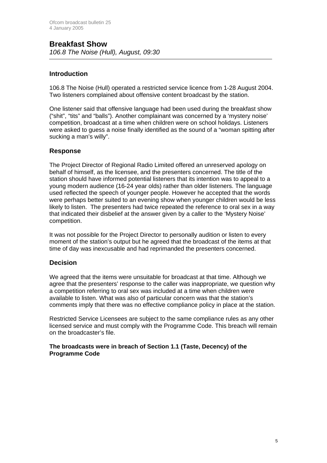# **Introduction**

106.8 The Noise (Hull) operated a restricted service licence from 1-28 August 2004. Two listeners complained about offensive content broadcast by the station.

One listener said that offensive language had been used during the breakfast show ("shit", "tits" and "balls"). Another complainant was concerned by a 'mystery noise' competition, broadcast at a time when children were on school holidays. Listeners were asked to guess a noise finally identified as the sound of a "woman spitting after sucking a man's willy".

#### **Response**

The Project Director of Regional Radio Limited offered an unreserved apology on behalf of himself, as the licensee, and the presenters concerned. The title of the station should have informed potential listeners that its intention was to appeal to a young modern audience (16-24 year olds) rather than older listeners. The language used reflected the speech of younger people. However he accepted that the words were perhaps better suited to an evening show when younger children would be less likely to listen. The presenters had twice repeated the reference to oral sex in a way that indicated their disbelief at the answer given by a caller to the 'Mystery Noise' competition.

It was not possible for the Project Director to personally audition or listen to every moment of the station's output but he agreed that the broadcast of the items at that time of day was inexcusable and had reprimanded the presenters concerned.

## **Decision**

We agreed that the items were unsuitable for broadcast at that time. Although we agree that the presenters' response to the caller was inappropriate, we question why a competition referring to oral sex was included at a time when children were available to listen. What was also of particular concern was that the station's comments imply that there was no effective compliance policy in place at the station.

Restricted Service Licensees are subject to the same compliance rules as any other licensed service and must comply with the Programme Code. This breach will remain on the broadcaster's file.

#### **The broadcasts were in breach of Section 1.1 (Taste, Decency) of the Programme Code**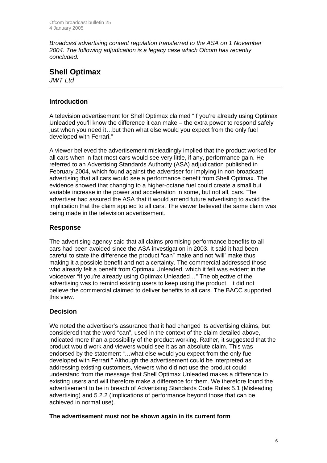*Broadcast advertising content regulation transferred to the ASA on 1 November 2004. The following adjudication is a legacy case which Ofcom has recently concluded.* 

## **Shell Optimax** *JWT Ltd*

**Introduction** 

A television advertisement for Shell Optimax claimed "If you're already using Optimax Unleaded you'll know the difference it can make – the extra power to respond safely just when you need it…but then what else would you expect from the only fuel developed with Ferrari."

A viewer believed the advertisement misleadingly implied that the product worked for all cars when in fact most cars would see very little, if any, performance gain. He referred to an Advertising Standards Authority (ASA) adjudication published in February 2004, which found against the advertiser for implying in non-broadcast advertising that all cars would see a performance benefit from Shell Optimax. The evidence showed that changing to a higher-octane fuel could create a small but variable increase in the power and acceleration in some, but not all, cars. The advertiser had assured the ASA that it would amend future advertising to avoid the implication that the claim applied to all cars. The viewer believed the same claim was being made in the television advertisement.

# **Response**

The advertising agency said that all claims promising performance benefits to all cars had been avoided since the ASA investigation in 2003. It said it had been careful to state the difference the product "can" make and not 'will' make thus making it a possible benefit and not a certainty. The commercial addressed those who already felt a benefit from Optimax Unleaded, which it felt was evident in the voiceover "If you're already using Optimax Unleaded…" The objective of the advertising was to remind existing users to keep using the product. It did not believe the commercial claimed to deliver benefits to all cars. The BACC supported this view.

# **Decision**

We noted the advertiser's assurance that it had changed its advertising claims, but considered that the word "can", used in the context of the claim detailed above, indicated more than a possibility of the product working. Rather, it suggested that the product would work and viewers would see it as an absolute claim. This was endorsed by the statement "…what else would you expect from the only fuel developed with Ferrari." Although the advertisement could be interpreted as addressing existing customers, viewers who did not use the product could understand from the message that Shell Optimax Unleaded makes a difference to existing users and will therefore make a difference for them. We therefore found the advertisement to be in breach of Advertising Standards Code Rules 5.1 (Misleading advertising) and 5.2.2 (Implications of performance beyond those that can be achieved in normal use).

#### **The advertisement must not be shown again in its current form**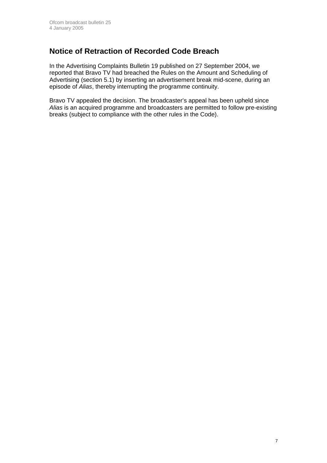# **Notice of Retraction of Recorded Code Breach**

In the Advertising Complaints Bulletin 19 published on 27 September 2004, we reported that Bravo TV had breached the Rules on the Amount and Scheduling of Advertising (section 5.1) by inserting an advertisement break mid-scene, during an episode of *Alias*, thereby interrupting the programme continuity.

Bravo TV appealed the decision. The broadcaster's appeal has been upheld since *Alias* is an acquired programme and broadcasters are permitted to follow pre-existing breaks (subject to compliance with the other rules in the Code).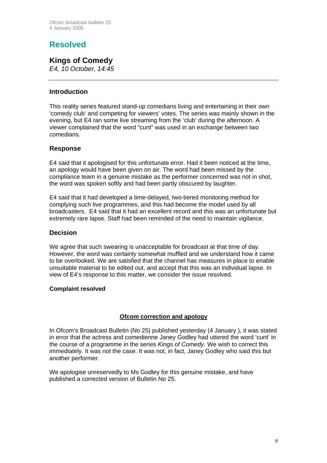# **Resolved**

# **Kings of Comedy**

*E4, 10 October, 14:45*

## **Introduction**

This reality series featured stand-up comedians living and entertaining in their own 'comedy club' and competing for viewers' votes. The series was mainly shown in the evening, but E4 ran some live streaming from the 'club' during the afternoon. A viewer complained that the word "cunt" was used in an exchange between two comedians.

## **Response**

E4 said that it apologised for this unfortunate error. Had it been noticed at the time, an apology would have been given on air. The word had been missed by the compliance team in a genuine mistake as the performer concerned was not in shot, the word was spoken softly and had been partly obscured by laughter.

E4 said that it had developed a time-delayed, two-tiered monitoring method for complying such live programmes, and this had become the model used by all broadcasters. E4 said that it had an excellent record and this was an unfortunate but extremely rare lapse. Staff had been reminded of the need to maintain vigilance.

#### **Decision**

We agree that such swearing is unacceptable for broadcast at that time of day. However, the word was certainly somewhat muffled and we understand how it came to be overlooked. We are satisfied that the channel has measures in place to enable unsuitable material to be edited out, and accept that this was an individual lapse. In view of E4's response to this matter, we consider the issue resolved.

#### **Complaint resolved**

## **Ofcom correction and apology**

In Ofcom's Broadcast Bulletin (No 25) published yesterday (4 January ), it was stated in error that the actress and comedienne Janey Godley had uttered the word 'cunt' in the course of a programme in the series *Kings of Comedy*. We wish to correct this immediately. It was not the case. It was not, in fact, Janey Godley who said this but another performer.

We apologise unreservedly to Ms Godley for this genuine mistake, and have published a corrected version of Bulletin No 25.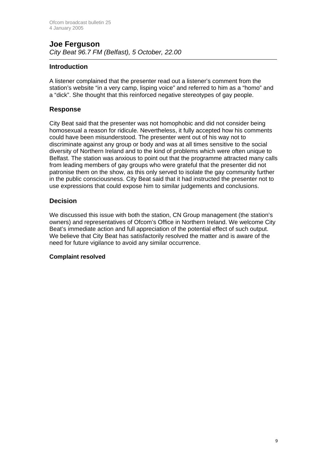## **Joe Ferguson** *City Beat 96.7 FM (Belfast), 5 October, 22.00*

## **Introduction**

A listener complained that the presenter read out a listener's comment from the station's website "in a very camp, lisping voice" and referred to him as a "homo" and a "dick". She thought that this reinforced negative stereotypes of gay people.

#### **Response**

City Beat said that the presenter was not homophobic and did not consider being homosexual a reason for ridicule. Nevertheless, it fully accepted how his comments could have been misunderstood. The presenter went out of his way not to discriminate against any group or body and was at all times sensitive to the social diversity of Northern Ireland and to the kind of problems which were often unique to Belfast. The station was anxious to point out that the programme attracted many calls from leading members of gay groups who were grateful that the presenter did not patronise them on the show, as this only served to isolate the gay community further in the public consciousness. City Beat said that it had instructed the presenter not to use expressions that could expose him to similar judgements and conclusions.

# **Decision**

We discussed this issue with both the station, CN Group management (the station's owners) and representatives of Ofcom's Office in Northern Ireland. We welcome City Beat's immediate action and full appreciation of the potential effect of such output. We believe that City Beat has satisfactorily resolved the matter and is aware of the need for future vigilance to avoid any similar occurrence.

#### **Complaint resolved**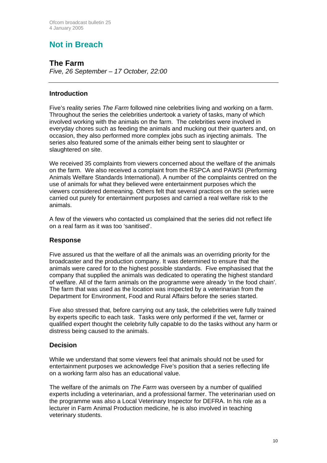# **Not in Breach**

**The Farm**  *Five, 26 September – 17 October, 22:00*

# **Introduction**

Five's reality series *The Farm* followed nine celebrities living and working on a farm. Throughout the series the celebrities undertook a variety of tasks, many of which involved working with the animals on the farm. The celebrities were involved in everyday chores such as feeding the animals and mucking out their quarters and, on occasion, they also performed more complex jobs such as injecting animals. The series also featured some of the animals either being sent to slaughter or slaughtered on site.

We received 35 complaints from viewers concerned about the welfare of the animals on the farm. We also received a complaint from the RSPCA and PAWSI (Performing Animals Welfare Standards International). A number of the complaints centred on the use of animals for what they believed were entertainment purposes which the viewers considered demeaning. Others felt that several practices on the series were carried out purely for entertainment purposes and carried a real welfare risk to the animals.

A few of the viewers who contacted us complained that the series did not reflect life on a real farm as it was too 'sanitised'.

#### **Response**

Five assured us that the welfare of all the animals was an overriding priority for the broadcaster and the production company. It was determined to ensure that the animals were cared for to the highest possible standards. Five emphasised that the company that supplied the animals was dedicated to operating the highest standard of welfare. All of the farm animals on the programme were already 'in the food chain'. The farm that was used as the location was inspected by a veterinarian from the Department for Environment, Food and Rural Affairs before the series started.

Five also stressed that, before carrying out any task, the celebrities were fully trained by experts specific to each task. Tasks were only performed if the vet, farmer or qualified expert thought the celebrity fully capable to do the tasks without any harm or distress being caused to the animals.

## **Decision**

While we understand that some viewers feel that animals should not be used for entertainment purposes we acknowledge Five's position that a series reflecting life on a working farm also has an educational value.

The welfare of the animals on *The Farm* was overseen by a number of qualified experts including a veterinarian, and a professional farmer. The veterinarian used on the programme was also a Local Veterinary Inspector for DEFRA. In his role as a lecturer in Farm Animal Production medicine, he is also involved in teaching veterinary students.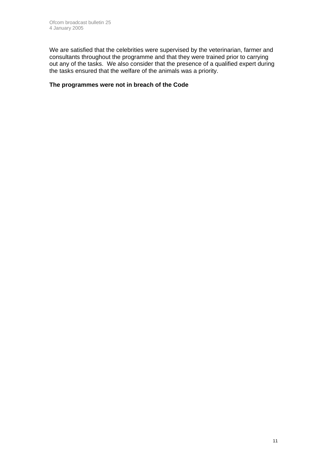We are satisfied that the celebrities were supervised by the veterinarian, farmer and consultants throughout the programme and that they were trained prior to carrying out any of the tasks. We also consider that the presence of a qualified expert during the tasks ensured that the welfare of the animals was a priority.

#### **The programmes were not in breach of the Code**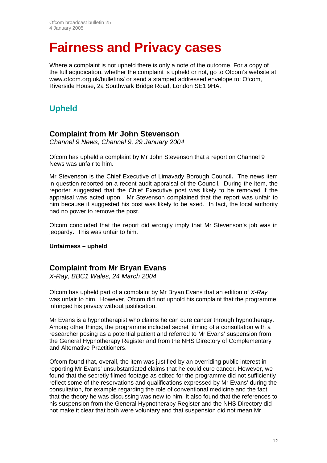# **Fairness and Privacy cases**

Where a complaint is not upheld there is only a note of the outcome. For a copy of the full adjudication, whether the complaint is upheld or not, go to Ofcom's website at [www.ofcom.org.uk/bulletins/](http://www.ofcom.org.uk/bulletins/) or send a stamped addressed envelope to: Ofcom, Riverside House, 2a Southwark Bridge Road, London SE1 9HA.

# **Upheld**

# **Complaint from Mr John Stevenson**

*Channel 9 News, Channel 9, 29 January 2004* 

Ofcom has upheld a complaint by Mr John Stevenson that a report on Channel 9 News was unfair to him.

Mr Stevenson is the Chief Executive of Limavady Borough Council**.** The news item in question reported on a recent audit appraisal of the Council. During the item, the reporter suggested that the Chief Executive post was likely to be removed if the appraisal was acted upon. Mr Stevenson complained that the report was unfair to him because it suggested his post was likely to be axed. In fact, the local authority had no power to remove the post.

Ofcom concluded that the report did wrongly imply that Mr Stevenson's job was in jeopardy. This was unfair to him.

#### **Unfairness – upheld**

# **Complaint from Mr Bryan Evans**

*X-Ray, BBC1 Wales, 24 March 2004* 

Ofcom has upheld part of a complaint by Mr Bryan Evans that an edition of *X-Ray*  was unfair to him. However, Ofcom did not uphold his complaint that the programme infringed his privacy without justification.

Mr Evans is a hypnotherapist who claims he can cure cancer through hypnotherapy. Among other things, the programme included secret filming of a consultation with a researcher posing as a potential patient and referred to Mr Evans' suspension from the General Hypnotherapy Register and from the NHS Directory of Complementary and Alternative Practitioners.

Ofcom found that, overall, the item was justified by an overriding public interest in reporting Mr Evans' unsubstantiated claims that he could cure cancer. However, we found that the secretly filmed footage as edited for the programme did not sufficiently reflect some of the reservations and qualifications expressed by Mr Evans' during the consultation, for example regarding the role of conventional medicine and the fact that the theory he was discussing was new to him. It also found that the references to his suspension from the General Hypnotherapy Register and the NHS Directory did not make it clear that both were voluntary and that suspension did not mean Mr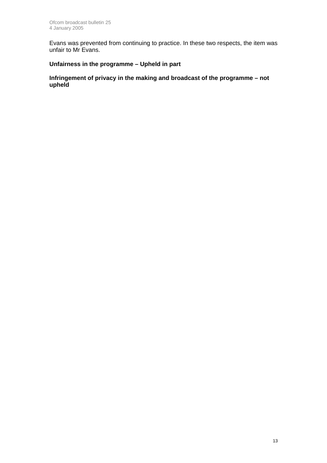Evans was prevented from continuing to practice. In these two respects, the item was unfair to Mr Evans.

# **Unfairness in the programme – Upheld in part**

**Infringement of privacy in the making and broadcast of the programme – not upheld**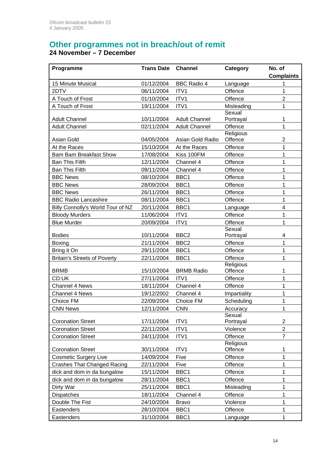# **Other programmes not in breach/out of remit**

## **24 November – 7 December**

| Programme                           | <b>Trans Date</b> | <b>Channel</b>       | Category            | No. of            |
|-------------------------------------|-------------------|----------------------|---------------------|-------------------|
|                                     |                   |                      |                     | <b>Complaints</b> |
| 15 Minute Musical                   | 01/12/2004        | <b>BBC Radio 4</b>   | Language            | 1                 |
| 2DTV                                | 06/11/2004        | ITV1                 | Offence             | 1                 |
| A Touch of Frost                    | 01/10/2004        | ITV1                 | Offence             | $\overline{2}$    |
| A Touch of Frost                    | 19/11/2004        | ITV1                 | Misleading          | 1                 |
| <b>Adult Channel</b>                | 10/11/2004        | <b>Adult Channel</b> | Sexual<br>Portrayal | 1                 |
| <b>Adult Channel</b>                | 02/11/2004        | <b>Adult Channel</b> | Offence             | 1                 |
|                                     |                   |                      | Religious           |                   |
| Asian Gold                          | 04/05/2004        | Asian Gold Radio     | Offence             | 2                 |
| At the Races                        | 15/10/2004        | At the Races         | Offence             | 1                 |
| <b>Bam Bam Breakfast Show</b>       | 17/08/2004        | Kiss 100FM           | Offence             | 1                 |
| <b>Ban This Filth</b>               | 12/11/2004        | Channel 4            | Offence             | 1                 |
| <b>Ban This Filth</b>               | 09/11/2004        | Channel 4            | Offence             | 1                 |
| <b>BBC News</b>                     | 08/10/2004        | BBC1                 | Offence             | 1                 |
| <b>BBC News</b>                     | 28/09/2004        | BBC1                 | Offence             | 1                 |
| <b>BBC News</b>                     | 26/11/2004        | BBC1                 | Offence             | 1                 |
| <b>BBC Radio Lancashire</b>         | 08/11/2004        | BBC1                 | Offence             | 1                 |
| Billy Connolly's World Tour of NZ   | 20/11/2004        | BBC1                 | Language            | 4                 |
| <b>Bloody Murders</b>               | 11/06/2004        | ITV1                 | Offence             | 1                 |
| <b>Blue Murder</b>                  | 20/09/2004        | ITV1                 | Offence             | 1                 |
|                                     |                   |                      | Sexual              |                   |
| <b>Bodies</b>                       | 10/11/2004        | BBC <sub>2</sub>     | Portrayal           | 4                 |
| Boxing                              | 21/11/2004        | BBC <sub>2</sub>     | Offence             | 1                 |
| Bring it On                         | 29/11/2004        | BBC1                 | Offence             | 1                 |
| <b>Britain's Streets of Poverty</b> | 22/11/2004        | BBC1                 | Offence             | 1                 |
|                                     |                   |                      | Religious           |                   |
| <b>BRMB</b>                         | 15/10/2004        | <b>BRMB Radio</b>    | Offence             | 1                 |
| CD:UK                               | 27/11/2004        | ITV1                 | Offence             | 1                 |
| Channel 4 News                      | 18/11/2004        | Channel 4            | Offence             | 1                 |
| Channel 4 News                      | 19/12/2002        | Channel 4            | Impartiality        | 1                 |
| Choice FM                           | 22/09/2004        | Choice FM            | Scheduling          | 1                 |
| <b>CNN News</b>                     | 12/11/2004        | <b>CNN</b>           | Accuracv<br>Sexual  | 1                 |
| <b>Coronation Street</b>            | 17/11/2004        | ITV1                 | Portrayal           | 2                 |
| <b>Coronation Street</b>            | 22/11/2004        | ITV1                 | Violence            | $\overline{2}$    |
| <b>Coronation Street</b>            | 24/11/2004        | ITV1                 | Offence             | $\overline{7}$    |
|                                     |                   |                      | Religious           |                   |
| <b>Coronation Street</b>            | 30/11/2004        | ITV1                 | Offence             | 1                 |
| <b>Cosmetic Surgery Live</b>        | 14/09/2004        | Five                 | Offence             | $\mathbf 1$       |
| <b>Crashes That Changed Racing</b>  | 22/11/2004        | Five                 | Offence             | 1                 |
| dick and dom in da bungalow         | 15/11/2004        | BBC1                 | Offence             | 1                 |
| dick and dom in da bungalow         | 28/11/2004        | BBC1                 | Offence             | 1                 |
| Dirty War                           | 25/11/2004        | BBC1                 | Misleading          | 1                 |
| Dispatches                          | 18/11/2004        | Channel 4            | Offence             | 1                 |
| Double The Fist                     | 24/10/2004        | <b>Bravo</b>         | Violence            | 1                 |
| Eastenders                          | 28/10/2004        | BBC1                 | Offence             | $\mathbf 1$       |
| Eastenders                          | 31/10/2004        | BBC1                 | Language            | 1                 |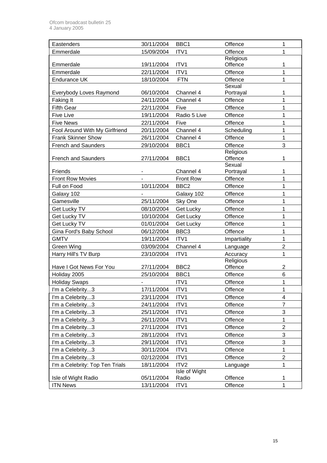| Eastenders                      | 30/11/2004                   | BBC1             | Offence              | $\mathbf{1}$             |
|---------------------------------|------------------------------|------------------|----------------------|--------------------------|
| Emmerdale                       | 15/09/2004                   | ITV1             | Offence              | 1                        |
|                                 |                              |                  | <b>Religious</b>     |                          |
| Emmerdale                       | 19/11/2004                   | ITV1             | Offence              | 1                        |
| Emmerdale                       | 22/11/2004                   | ITV1             | Offence              | $\mathbf 1$              |
| <b>Endurance UK</b>             | 18/10/2004                   | <b>FTN</b>       | Offence              | $\mathbf{1}$             |
|                                 |                              |                  | Sexual               |                          |
| Everybody Loves Raymond         | 06/10/2004                   | Channel 4        | Portrayal            | 1                        |
| Faking It                       | 24/11/2004                   | Channel 4        | Offence              | 1                        |
| <b>Fifth Gear</b>               | 22/11/2004                   | Five             | Offence              | 1                        |
| <b>Five Live</b>                | 19/11/2004                   | Radio 5 Live     | Offence              | 1                        |
| <b>Five News</b>                | 22/11/2004                   | Five             | Offence              | 1                        |
| Fool Around With My Girlfriend  | 20/11/2004                   | Channel 4        | Scheduling           | 1                        |
| <b>Frank Skinner Show</b>       | 26/11/2004                   | Channel 4        | Offence              | $\mathbf{1}$             |
| <b>French and Saunders</b>      | 29/10/2004                   | BBC1             | Offence              | 3                        |
|                                 |                              |                  | Religious<br>Offence |                          |
| <b>French and Saunders</b>      | 27/11/2004                   | BBC1             | Sexual               | 1                        |
| Friends                         |                              | Channel 4        | Portrayal            | 1                        |
| <b>Front Row Movies</b>         |                              | Front Row        | Offence              | $\mathbf 1$              |
| Full on Food                    | 10/11/2004                   | BBC <sub>2</sub> | Offence              | 1                        |
| Galaxy 102                      |                              | Galaxy 102       | Offence              | 1                        |
| Gamesville                      | 25/11/2004                   | Sky One          | Offence              | $\mathbf 1$              |
| Get Lucky TV                    | 08/10/2004                   | Get Lucky        | Offence              | 1                        |
| Get Lucky TV                    | 10/10/2004                   | Get Lucky        | Offence              | 1                        |
| Get Lucky TV                    | 01/01/2004                   | <b>Get Lucky</b> | Offence              | 1                        |
| Gina Ford's Baby School         | 06/12/2004                   | BBC <sub>3</sub> | Offence              | 1                        |
| <b>GMTV</b>                     | 19/11/2004                   | ITV1             | Impartiality         | $\mathbf 1$              |
| Green Wing                      | 03/09/2004                   | Channel 4        | Language             | $\overline{2}$           |
| Harry Hill's TV Burp            | 23/10/2004                   | ITV1             | Accuracy             | $\mathbf 1$              |
|                                 |                              |                  | Religious            |                          |
| Have I Got News For You         | 27/11/2004                   | BBC <sub>2</sub> | Offence              | 2                        |
| Holiday 2005                    | 25/10/2004                   | BBC1             | Offence              | 6                        |
| <b>Holiday Swaps</b>            | $\qquad \qquad \blacksquare$ | ITV1             | Offence              | 1                        |
| I'm a Celebrity3                | 17/11/2004                   | ITV1             | Offence              | 1                        |
| I'm a Celebrity3                | 23/11/2004                   | ITV1             | Offence              | $\overline{\mathcal{A}}$ |
| I'm a Celebrity3                | 24/11/2004                   | ITV1             | Offence              | $\overline{7}$           |
| I'm a Celebrity3                | 25/11/2004                   | ITV1             | Offence              | 3                        |
| I'm a Celebrity3                | 26/11/2004                   | ITV1             | Offence              | $\mathbf{1}$             |
| I'm a Celebrity3                | 27/11/2004                   | ITV1             | Offence              | $\overline{c}$           |
| I'm a Celebrity3                | 28/11/2004                   | ITV1             | Offence              | 3                        |
| I'm a Celebrity3                | 29/11/2004                   | ITV1             | Offence              | 3                        |
| I'm a Celebrity3                | 30/11/2004                   | ITV1             | Offence              | $\mathbf{1}$             |
| I'm a Celebrity3                | 02/12/2004                   | ITV1             | Offence              | $\overline{2}$           |
| I'm a Celebrity: Top Ten Trials | 18/11/2004                   | ITV2             | Language             | 1                        |
|                                 |                              | Isle of Wight    |                      |                          |
| Isle of Wight Radio             | 05/11/2004                   | Radio            | Offence              | 1                        |
| <b>ITN News</b>                 | 13/11/2004                   | ITV1             | Offence              | 1                        |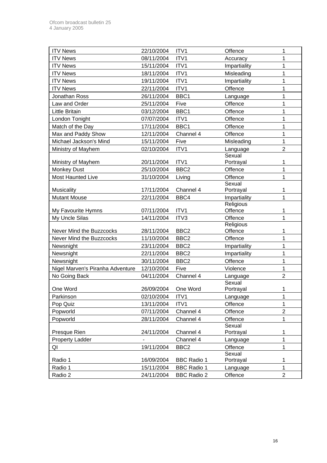| <b>ITV News</b>                  | 22/10/2004               | ITV1               | Offence             | 1              |
|----------------------------------|--------------------------|--------------------|---------------------|----------------|
| <b>ITV News</b>                  | 08/11/2004               | ITV1               | Accuracy            | 1              |
| <b>ITV News</b>                  | 15/11/2004               | ITV1               | Impartiality        | $\mathbf 1$    |
| <b>ITV News</b>                  | 18/11/2004               | ITV1               | Misleading          | $\mathbf 1$    |
| <b>ITV News</b>                  | 19/11/2004               | ITV1               | Impartiality        | 1              |
| <b>ITV News</b>                  | 22/11/2004               | ITV1               | Offence             | 1              |
| Jonathan Ross                    | 26/11/2004               | BBC1               | Language            | 1              |
| Law and Order                    | 25/11/2004               | Five               | Offence             | 1              |
| <b>Little Britain</b>            | 03/12/2004               | BBC1               | Offence             | $\mathbf 1$    |
| London Tonight                   | 07/07/2004               | ITV1               | Offence             | $\mathbf 1$    |
| Match of the Day                 | 17/11/2004               | BBC1               | Offence             | 1              |
| Max and Paddy Show               | 12/11/2004               | Channel 4          | Offence             | 1              |
| Michael Jackson's Mind           | 15/11/2004               | Five               | Misleading          | $\mathbf 1$    |
| Ministry of Mayhem               | 02/10/2004               | ITV1               | Language            | $\overline{2}$ |
|                                  |                          |                    | Sexual              |                |
| Ministry of Mayhem               | 20/11/2004               | ITV1               | Portrayal           | 1              |
| <b>Monkey Dust</b>               | 25/10/2004               | BBC <sub>2</sub>   | Offence             | 1              |
| <b>Most Haunted Live</b>         | 31/10/2004               | Living             | Offence             | 1              |
| Musicality                       | 17/11/2004               | Channel 4          | Sexual<br>Portrayal | 1              |
| <b>Mutant Mouse</b>              | 22/11/2004               | BBC4               | Impartiality        | $\mathbf 1$    |
|                                  |                          |                    | Religious           |                |
| My Favourite Hymns               | 07/11/2004               | ITV1               | Offence             | 1              |
| My Uncle Silas                   | 14/11/2004               | ITV3               | Offence             | $\mathbf{1}$   |
|                                  |                          |                    | Religious           |                |
| Never Mind the Buzzcocks         | 28/11/2004               | BBC <sub>2</sub>   | Offence             | 1              |
| Never Mind the Buzzcocks         | 11/10/2004               | BBC <sub>2</sub>   | Offence             | $\mathbf 1$    |
| Newsnight                        | 23/11/2004               | BBC <sub>2</sub>   | Impartiality        | 1              |
| Newsnight                        | 22/11/2004               | BBC <sub>2</sub>   | Impartiality        | 1              |
| Newsnight                        | 30/11/2004               | BBC <sub>2</sub>   | Offence             | 1              |
| Nigel Marven's Piranha Adventure | 12/10/2004               | Five               | Violence            | 1              |
| No Going Back                    | 04/11/2004               | Channel 4          | Language            | $\overline{2}$ |
| One Word                         |                          | One Word           | Sexual              |                |
|                                  | 26/09/2004<br>02/10/2004 | ITV1               | Portrayal           | 1              |
| Parkinson<br>Pop Quiz            | 13/11/2004               | ITV1               | Language<br>Offence | 1<br>1         |
| Popworld                         | 07/11/2004               | Channel 4          | Offence             | $\overline{2}$ |
| Popworld                         | 28/11/2004               | Channel 4          | Offence             | 1              |
|                                  |                          |                    | Sexual              |                |
| Presque Rien                     | 24/11/2004               | Channel 4          | Portrayal           | 1              |
| <b>Property Ladder</b>           |                          | Channel 4          | Language            | 1              |
| QI                               | 19/11/2004               | BBC <sub>2</sub>   | Offence             | $\mathbf{1}$   |
|                                  |                          |                    | Sexual              |                |
| Radio 1                          | 16/09/2004               | <b>BBC Radio 1</b> | Portrayal           | 1              |
| Radio 1                          | 15/11/2004               | <b>BBC Radio 1</b> | Language            | 1              |
| Radio 2                          | 24/11/2004               | <b>BBC Radio 2</b> | Offence             | $\overline{2}$ |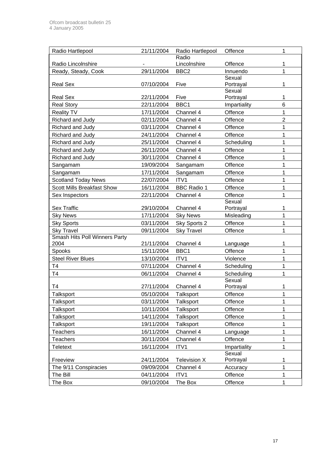| Radio Hartlepool                      | 21/11/2004 | Radio Hartlepool   | Offence             | 1                |
|---------------------------------------|------------|--------------------|---------------------|------------------|
|                                       |            | Radio              |                     |                  |
| Radio Lincolnshire                    |            | Lincolnshire       | Offence             | 1                |
| Ready, Steady, Cook                   | 29/11/2004 | BBC <sub>2</sub>   | Innuendo            | 1                |
|                                       |            |                    | Sexual              |                  |
| <b>Real Sex</b>                       | 07/10/2004 | Five               | Portrayal<br>Sexual | 1                |
| <b>Real Sex</b>                       | 22/11/2004 | Five               | Portrayal           | 1                |
| <b>Real Story</b>                     | 22/11/2004 | BBC1               | Impartiality        | 6                |
| <b>Reality TV</b>                     | 17/11/2004 | Channel 4          | Offence             | 1                |
| Richard and Judy                      | 02/11/2004 | Channel 4          | Offence             | $\overline{2}$   |
| Richard and Judy                      | 03/11/2004 | Channel 4          | Offence             | 1                |
| Richard and Judy                      | 24/11/2004 | Channel 4          | Offence             | 1                |
| Richard and Judy                      | 25/11/2004 | Channel 4          | Scheduling          | 1                |
| Richard and Judy                      | 26/11/2004 | Channel 4          | Offence             | 1                |
| Richard and Judy                      | 30/11/2004 | Channel 4          | Offence             | 1                |
| Sangamam                              | 19/09/2004 | Sangamam           | Offence             | 1                |
| Sangamam                              | 17/11/2004 | Sangamam           | Offence             | 1                |
| <b>Scotland Today News</b>            | 22/07/2004 | ITV1               | Offence             | 1                |
| <b>Scott Mills Breakfast Show</b>     | 16/11/2004 | <b>BBC Radio 1</b> | Offence             | 1                |
| Sex Inspectors                        | 22/11/2004 | Channel 4          | Offence             | 1                |
|                                       |            |                    | Sexual              |                  |
| <b>Sex Traffic</b>                    | 29/10/2004 | Channel 4          | Portrayal           | 1                |
| <b>Sky News</b>                       | 17/11/2004 | <b>Sky News</b>    | Misleading          | 1                |
| <b>Sky Sports</b>                     | 03/11/2004 | Sky Sports 2       | Offence             | 1                |
| <b>Sky Travel</b>                     | 09/11/2004 | <b>Sky Travel</b>  | Offence             | 1                |
| Smash Hits Poll Winners Party<br>2004 | 21/11/2004 | Channel 4          | Language            | 1                |
| Spooks                                | 15/11/2004 | BBC1               | Offence             | 1                |
| <b>Steel River Blues</b>              | 13/10/2004 | ITV1               | Violence            | 1                |
| T <sub>4</sub>                        | 07/11/2004 | Channel 4          | Scheduling          | 1                |
| T <sub>4</sub>                        | 06/11/2004 | Channel 4          | Scheduling          | 1                |
|                                       |            |                    | Sexual              |                  |
| T <sub>4</sub>                        | 27/11/2004 | Channel 4          | Portrayal           | 1                |
| Talksport                             | 05/10/2004 | Talksport          | Offence             | 1                |
| Talksport                             | 03/11/2004 | Talksport          | Offence             | 1                |
| Talksport                             | 10/11/2004 | Talksport          | Offence             | 1                |
| Talksport                             | 14/11/2004 | Talksport          | Offence             | 1                |
| Talksport                             | 19/11/2004 | Talksport          | Offence             | 1                |
| <b>Teachers</b>                       | 16/11/2004 | Channel 4          | Language            | 1                |
| <b>Teachers</b>                       | 30/11/2004 | Channel 4          | Offence             | 1                |
| <b>Teletext</b>                       | 16/11/2004 | ITV1               | Impartiality        | 1                |
|                                       |            |                    | Sexual              |                  |
| Freeview                              | 24/11/2004 | Television X       | Portrayal           | 1<br>$\mathbf 1$ |
| The 9/11 Conspiracies                 | 09/09/2004 | Channel 4          | Accuracy            |                  |
| The Bill                              | 04/11/2004 | ITV1               | Offence             | 1                |
| The Box                               | 09/10/2004 | The Box            | Offence             | 1                |